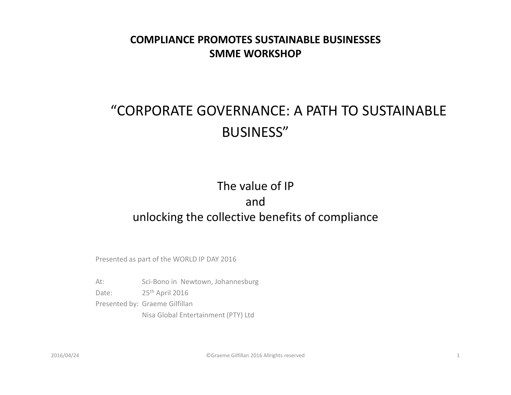#### **COMPLIANCE PROMOTES SUSTAINABLE BUSINESSESSMME WORKSHOP**

#### "CORPORATE GOVERNANCE: A PATH TO SUSTAINABLE BUSINESS"

#### The value of IP and unlocking the collective benefits of compliance

Presented as part of the WORLD IP DAY 2016

At: Sci-Bono in Newtown, Johannesburg Date: 25<sup>th</sup> April 2016 Presented by: Graeme GilfillanNisa Global Entertainment (PTY) Ltd

©Graeme Gilfillan 2016 Allrights reserved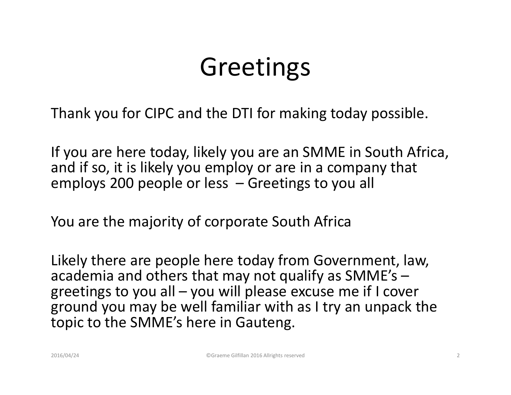### Greetings

Thank you for CIPC and the DTI for making today possible.

If you are here today, likely you are an SMME in South Africa, and if so, it is likely you employ or are in a company that employs 200 people or less – Greetings to you all

You are the majority of corporate South Africa

Likely there are people here today from Government, law, academia and others that may not qualify as SMME's – greetings to you all – you will please excuse me if I cover ground you may be well familiar with as I try an unpack the topic to the SMME's here in Gauteng.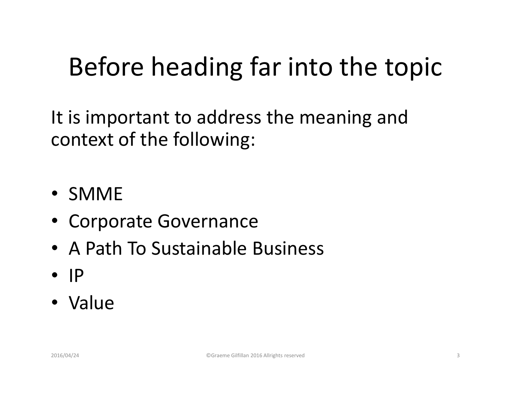## Before heading far into the topic

It is important to address the meaning and context of the following:

- SMME
- Corporate Governance
- A Path To Sustainable Business
- IP
- Value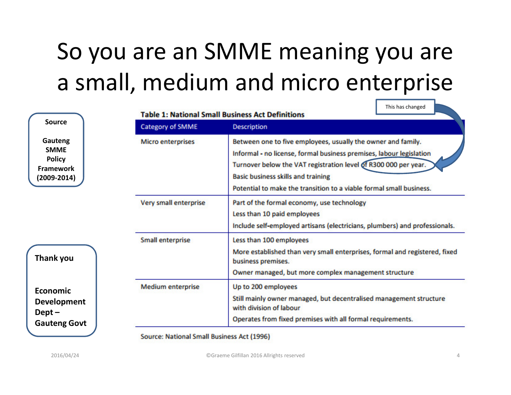#### So you are an SMME meaning you are a small, medium and micro enterprise

| <b>Source</b>                                                                  | <b>Table 1: National Small Business Act Definitions</b> |                                                                                                                                                                                                                                                                                                                            |  |  |
|--------------------------------------------------------------------------------|---------------------------------------------------------|----------------------------------------------------------------------------------------------------------------------------------------------------------------------------------------------------------------------------------------------------------------------------------------------------------------------------|--|--|
|                                                                                | Category of SMME                                        | <b>Description</b>                                                                                                                                                                                                                                                                                                         |  |  |
| Gauteng<br><b>SMME</b><br><b>Policy</b><br><b>Framework</b><br>$(2009 - 2014)$ | <b>Micro enterprises</b>                                | Between one to five employees, usually the owner and family.<br>Informal - no license, formal business premises, labour legislation<br>Turnover below the VAT registration level of R300 000 per year.<br><b>Basic business skills and training</b><br>Potential to make the transition to a viable formal small business. |  |  |
|                                                                                | Very small enterprise                                   | Part of the formal economy, use technology<br>Less than 10 paid employees<br>Include self-employed artisans (electricians, plumbers) and professionals.                                                                                                                                                                    |  |  |
| Thank you                                                                      | <b>Small enterprise</b>                                 | Less than 100 employees<br>More established than very small enterprises, formal and registered, fixed<br>business premises.<br>Owner managed, but more complex management structure                                                                                                                                        |  |  |
| Economic<br><b>Development</b><br>$Depth-$<br><b>Gauteng Govt</b>              | <b>Medium enterprise</b>                                | Up to 200 employees<br>Still mainly owner managed, but decentralised management structure<br>with division of labour<br>Operates from fixed premises with all formal requirements.                                                                                                                                         |  |  |

 $\overline{\phantom{a}}$  This has changed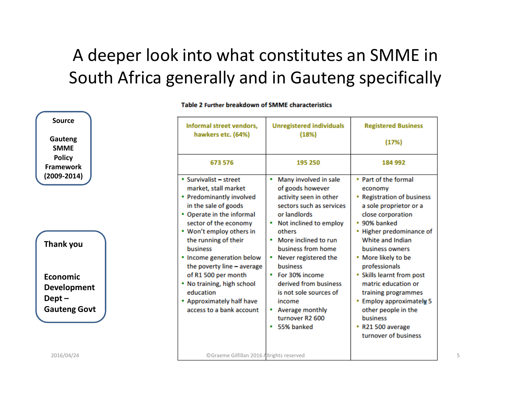#### A deeper look into what constitutes an SMME in South Africa generally and in Gauteng specifically

| <b>Source</b>                                     | Informal street vendors,                                                                                                                                 | <b>Unregistered individuals</b>                                                                                                           | <b>Registered Business</b>                                                                                                        |
|---------------------------------------------------|----------------------------------------------------------------------------------------------------------------------------------------------------------|-------------------------------------------------------------------------------------------------------------------------------------------|-----------------------------------------------------------------------------------------------------------------------------------|
| Gauteng<br><b>SMME</b>                            | hawkers etc. (64%)                                                                                                                                       | (18%)                                                                                                                                     | (17%)                                                                                                                             |
| <b>Policy</b><br><b>Framework</b>                 | 673 576                                                                                                                                                  | 195 250                                                                                                                                   | 184 992                                                                                                                           |
| $(2009 - 2014)$                                   | • Survivalist - street<br>market, stall market<br>• Predominantly involved<br>in the sale of goods<br>• Operate in the informal<br>sector of the economy | Many involved in sale<br>of goods however<br>activity seen in other<br>sectors such as services<br>or landlords<br>Not inclined to employ | • Part of the formal<br>economy<br><b>Registration of business</b><br>a sole proprietor or a<br>close corporation<br>• 90% banked |
| Thank you                                         | • Won't employ others in<br>the running of their<br><b>business</b><br>• Income generation below<br>the poverty line - average                           | others<br>More inclined to run<br>٠<br>business from home<br>Never registered the<br><b>business</b>                                      | Higher predominance of<br>White and Indian<br>business owners<br>• More likely to be<br>professionals                             |
| <b>Economic</b><br><b>Development</b><br>$Depth-$ | of R1 500 per month<br>• No training, high school<br>education<br>• Approximately half have                                                              | For 30% income<br>derived from business<br>is not sole sources of<br>income                                                               | • Skills learnt from post<br>matric education or<br>training programmes<br><b>Employ approximately 5</b>                          |
| <b>Gauteng Govt</b>                               | access to a bank account                                                                                                                                 | Average monthly<br>turnover R2 600<br>55% banked<br>٠                                                                                     | other people in the<br>business<br>R21 500 average<br>turnover of business                                                        |
| 2016/04/24                                        | ©Graeme Gilfillan 2016 Allrights reserved                                                                                                                |                                                                                                                                           |                                                                                                                                   |

Table 2 Further breakdown of SMME characteristics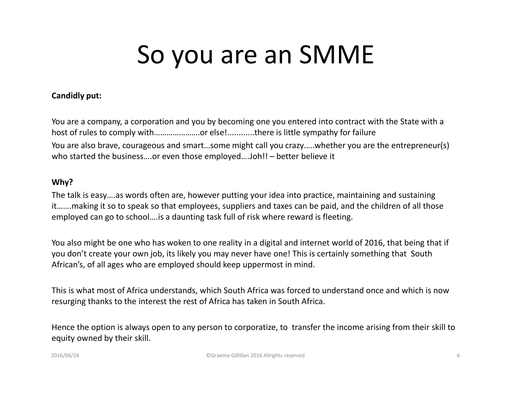### So you are an SMME

#### **Candidly put:**

You are a company, a corporation and you by becoming one you entered into contract with the State with a host of rules to comply with..........................or else!............there is little sympathy for failure You are also brave, courageous and smart…some might call you crazy…..whether you are the entrepreneur(s) who started the business….or even those employed….Joh!! – better believe it

#### **Why?**

The talk is easy….as words often are, however putting your idea into practice, maintaining and sustaining it…….making it so to speak so that employees, suppliers and taxes can be paid, and the children of all those employed can go to school….is a daunting task full of risk where reward is fleeting.

You also might be one who has woken to one reality in a digital and internet world of 2016, that being that if you don't create your own job, its likely you may never have one! This is certainly something that South African's, of all ages who are employed should keep uppermost in mind.

This is what most of Africa understands, which South Africa was forced to understand once and which is now resurging thanks to the interest the rest of Africa has taken in South Africa.

Hence the option is always open to any person to corporatize, to transfer the income arising from their skill to equity owned by their skill.

2016/04/24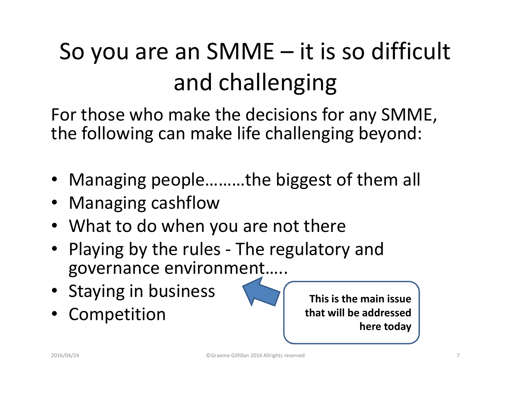## So you are an SMME – it is so difficult and challenging

For those who make the decisions for any SMME, the following can make life challenging beyond:

- Managing people………the biggest of them all
- Managing cashflow
- What to do when you are not there
- Playing by the rules The regulatory and governance environment…..
- Staying in business
- •Competition

**This is the main issue that will be addressed here today**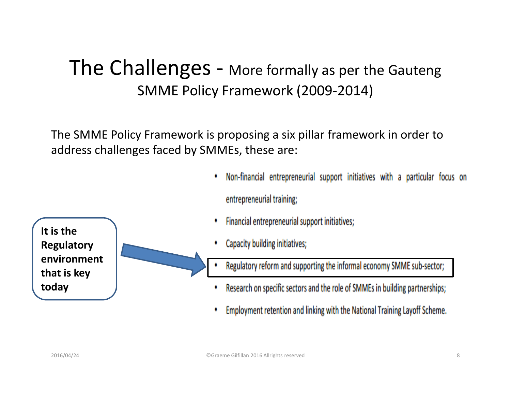#### The Challenges - More formally as per the Gauteng SMME Policy Framework (2009-2014)

The SMME Policy Framework is proposing a six pillar framework in order toaddress challenges faced by SMMEs, these are:

- Non-financial entrepreneurial support initiatives with a particular focus on ٠ entrepreneurial training;
- Financial entrepreneurial support initiatives; ٠
- Capacity building initiatives;
- Regulatory reform and supporting the informal economy SMME sub-sector; ٠
- Research on specific sectors and the role of SMMEs in building partnerships;
- ۰ Employment retention and linking with the National Training Layoff Scheme.

**It is the Regulatory environment that is key today**

©Graeme Gilfillan 2016 Allrights reserved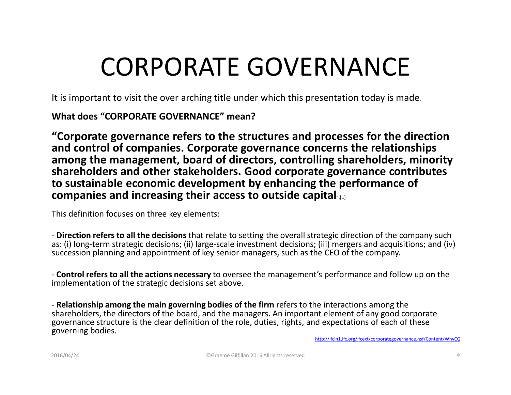### CORPORATE GOVERNANCE

It is important to visit the over arching title under which this presentation today is made.

**What does "CORPORATE GOVERNANCE" mean?**

**"Corporate governance refers to the structures and processes for the direction and control of companies. Corporate governance concerns the relationships among the management, board of directors, controlling shareholders, minority shareholders and other stakeholders. Good corporate governance contributes to sustainable economic development by enhancing the performance of companies and increasing their access to outside capital**".[1]

This definition focuses on three key elements:

- **Direction refers to all the decisions** that relate to setting the overall strategic direction of the company such as: (i) long-term strategic decisions; (ii) large-scale investment decisions; (iii) mergers and acquisitions; and (iv) succession planning and appointment of key senior managers, such as the CEO of the company.

- **Control refers to all the actions necessary** to oversee the management's performance and follow up on the implementation of the strategic decisions set above.

- **Relationship among the main governing bodies of the firm** refers to the interactions among the shareholders, the directors of the board, and the managers. An important element of any good corporategovernance structure is the clear definition of the role, duties, rights, and expectations of each of these governing bodies.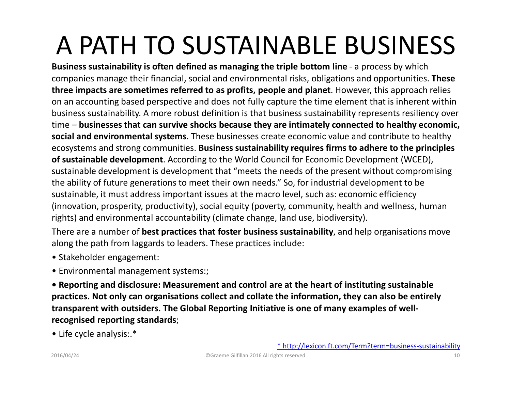## A PATH TO SUSTAINABLE BUSINESS

**Business sustainability is often defined as managing the triple bottom line** - a process by which companies manage their financial, social and environmental risks, obligations and opportunities. **These three impacts are sometimes referred to as profits, people and planet**. However, this approach relies on an accounting based perspective and does not fully capture the time element that is inherent within business sustainability. A more robust definition is that business sustainability represents resiliency over time – **businesses that can survive shocks because they are intimately connected to healthy economic, social and environmental systems**. These businesses create economic value and contribute to healthy ecosystems and strong communities. **Business sustainability requires firms to adhere to the principles of sustainable development**. According to the World Council for Economic Development (WCED), sustainable development is development that "meets the needs of the present without compromising the ability of future generations to meet their own needs." So, for industrial development to be sustainable, it must address important issues at the macro level, such as: economic efficiency (innovation, prosperity, productivity), social equity (poverty, community, health and wellness, human rights) and environmental accountability (climate change, land use, biodiversity).

There are a number of **best practices that foster business sustainability**, and help organisations move along the path from laggards to leaders. These practices include:

- Stakeholder engagement:
- Environmental management systems:;

**• Reporting and disclosure: Measurement and control are at the heart of instituting sustainable practices. Not only can organisations collect and collate the information, they can also be entirely transparent with outsiders. The Global Reporting Initiative is one of many examples of wellrecognised reporting standards**;

• Life cycle analysis:.\*

\* http://lexicon.ft.com/Term?term=business-sustainability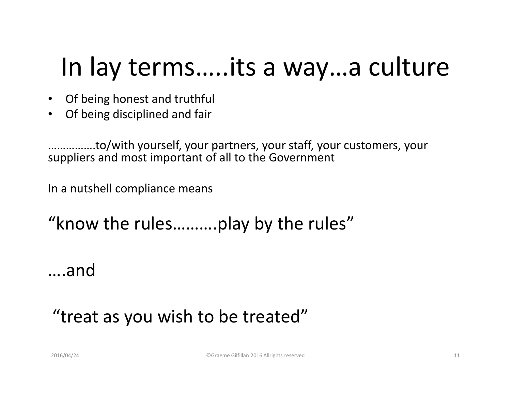### In lay terms…..its a way…a culture

- Of being honest and truthful
- Of being disciplined and fair

…………….to/with yourself, your partners, your staff, your customers, your suppliers and most important of all to the Government

In a nutshell compliance means

"know the rules……….play by the rules"

….and

#### "treat as you wish to be treated"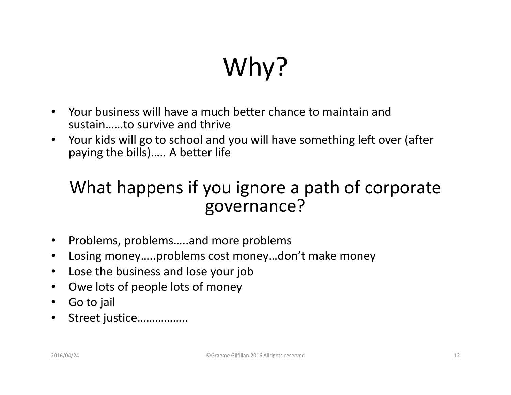# Why?

- $\bullet$  Your business will have a much better chance to maintain and sustain……to survive and thrive
- Your kids will go to school and you will have something left over (after  $\bullet$ paying the bills)….. A better life

#### What happens if you ignore a path of corporate governance?

- $\bullet$ Problems, problems…..and more problems
- •Losing money…..problems cost money…don't make money
- Lose the business and lose your job
- $\bullet$ Owe lots of people lots of money
- $\bullet$ Go to jail
- $\bullet$ Street justice……………..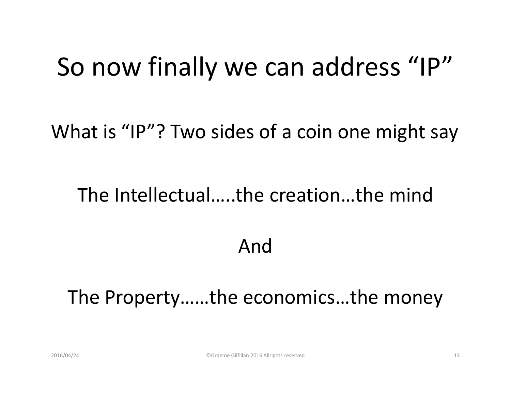#### So now finally we can address "IP"

What is "IP"? Two sides of a coin one might say

#### The Intellectual…..the creation…the mind

#### And

#### The Property……the economics…the money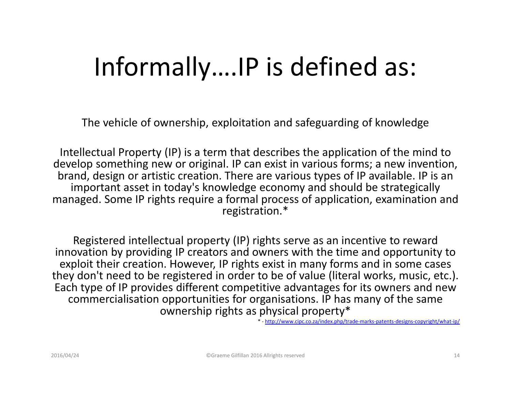### Informally….IP is defined as:

The vehicle of ownership, exploitation and safeguarding of knowledge

Intellectual Property (IP) is a term that describes the application of the mind to develop something new or original. IP can exist in various forms; a new invention, brand, design or artistic creation. There are various types of IP available. IP is an important asset in today's knowledge economy and should be strategically managed. Some IP rights require a formal process of application, examination and registration.\*

Registered intellectual property (IP) rights serve as an incentive to reward innovation by providing IP creators and owners with the time and opportunity to exploit their creation. However, IP rights exist in many forms and in some cases they don't need to be registered in order to be of value (literal works, music, etc.). Each type of IP provides different competitive advantages for its owners and new commercialisation opportunities for organisations. IP has many of the same ownership rights as physical property\*

\* - http://www.cipc.co.za/index.php/trade-marks-patents-designs-copyright/what-ip/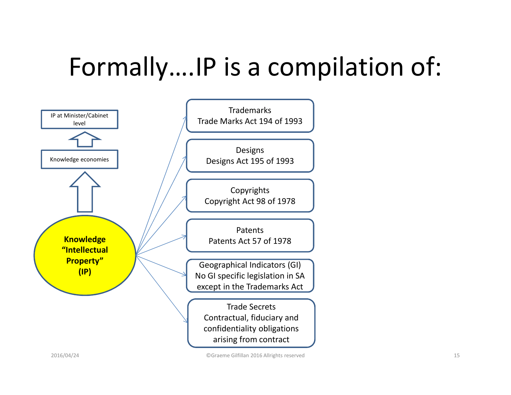## Formally….IP is a compilation of:

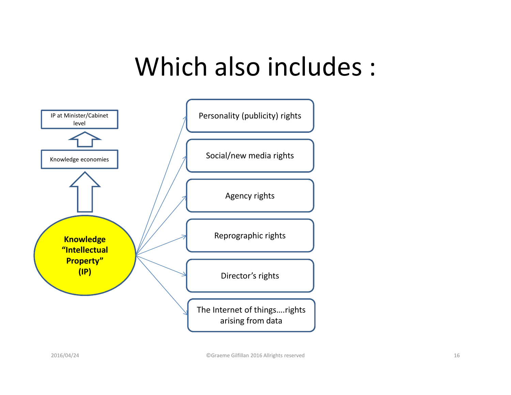#### Which also includes :

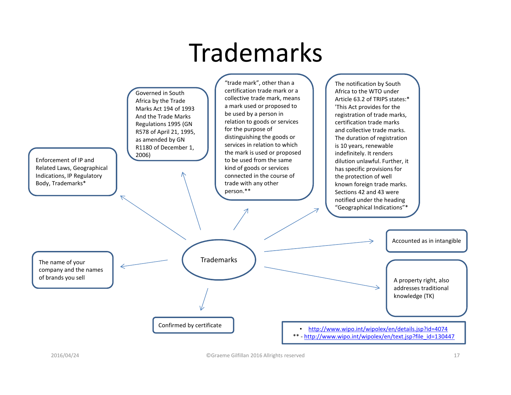#### Trademarks

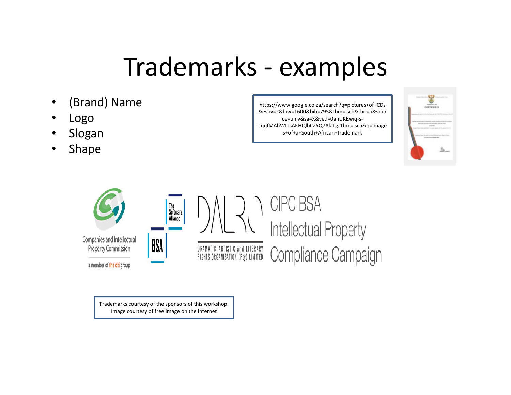#### Trademarks - examples

- •(Brand) Name
- •Logo
- Slogan •
- Shape •

https://www.google.co.za/search?q=pictures+of+CDs &espv=2&biw=1600&bih=795&tbm=isch&tbo=u&source=univ&sa=X&ved=0ahUKEwiq-scqqfMAhWLJsAKHQlbCZYQ7AkILg#tbm=isch&q=images+of+a+South+African+trademark





Trademarks courtesy of the sponsors of this workshop. Image courtesy of free image on the internet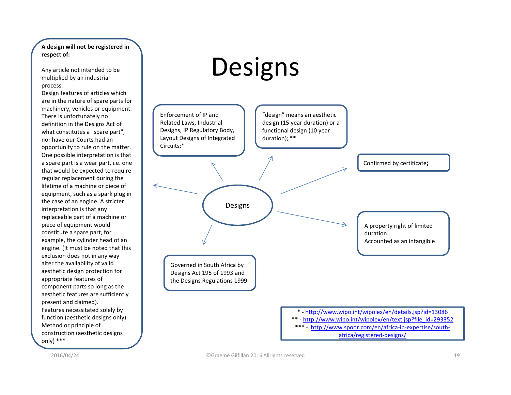#### **A design will not be registered in respect of:**

Any article not intended to be multiplied by an industrial process.

Design features of articles which are in the nature of spare parts for machinery, vehicles or equipment. There is unfortunately no definition in the Designs Act of what constitutes a "spare part", nor have our Courts had an opportunity to rule on the matter. One possible interpretation is that a spare part is a wear part, i.e. one that would be expected to require regular replacement during the lifetime of a machine or piece of equipment, such as a spark plug in the case of an engine. A stricter interpretation is that any replaceable part of a machine or piece of equipment would constitute a spare part, for example, the cylinder head of an engine. (It must be noted that this exclusion does not in any way alter the availability of valid aesthetic design protection for appropriate features of component parts so long as the aesthetic features are sufficiently present and claimed).Features necessitated solely by function (aesthetic designs only)Method or principle of construction (aesthetic designs only) \*\*\*

### **Designs**



2016/04/24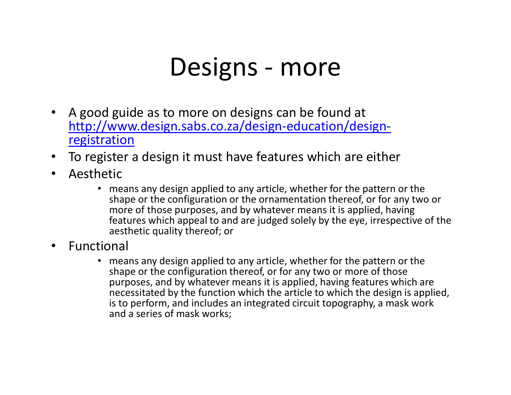#### Designs - more

- $\bullet$  A good guide as to more on designs can be found at http://www.design.sabs.co.za/design-education/designregistration
- To register a design it must have features which are either  $\bullet$
- $\bullet$  Aesthetic
	- means any design applied to any article, whether for the pattern or the shape or the configuration or the ornamentation thereof, or for any two or more of those purposes, and by whatever means it is applied, having features which appeal to and are judged solely by the eye, irrespective of the aesthetic quality thereof; or
- $\bullet$  Functional
	- means any design applied to any article, whether for the pattern or the shape or the configuration thereof, or for any two or more of those purposes, and by whatever means it is applied, having features which are necessitated by the function which the article to which the design is applied, is to perform, and includes an integrated circuit topography, a mask work and a series of mask works;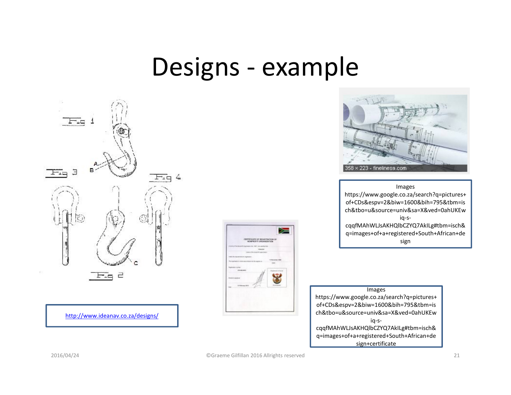#### Designs - example



http://www.ideanav.co.za/designs/





Images https://www.google.co.za/search?q=pictures+ of+CDs&espv=2&biw=1600&bih=795&tbm=is ch&tbo=u&source=univ&sa=X&ved=0ahUKEwiq-scqqfMAhWLJsAKHQlbCZYQ7AkILg#tbm=isch&

 q=images+of+a+registered+South+African+design

**Images**  https://www.google.co.za/search?q=pictures+ of+CDs&espv=2&biw=1600&bih=795&tbm=is ch&tbo=u&source=univ&sa=X&ved=0ahUKEwiq-scqqfMAhWLJsAKHQlbCZYQ7AkILg#tbm=isch& q=images+of+a+registered+South+African+design+certificate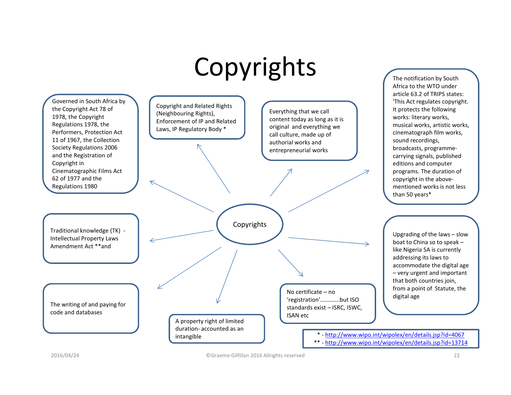## Copyrights



The notification by South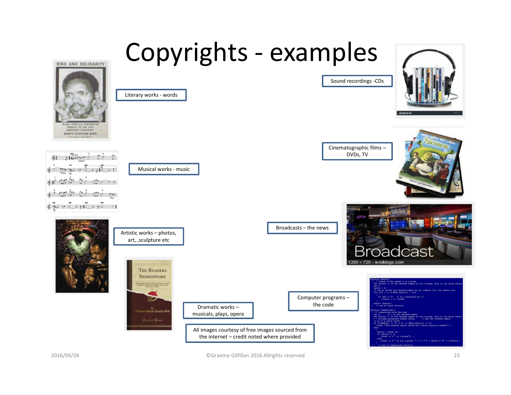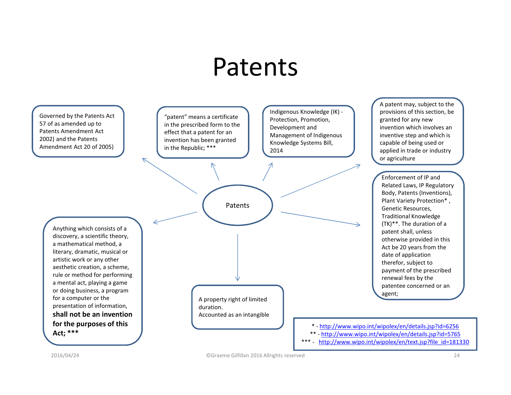#### Patents



"patent" means a certificate in the prescribed form to the effect that a patent for an invention has been granted in the Republic; \*\*\*

 $\overline{\nearrow}$ 

Indigenous Knowledge (IK) -Protection, Promotion, Development and Management of Indigenous Knowledge Systems Bill, 2014

A patent may, subject to the provisions of this section, be granted for any new invention which involves an inventive step and which is capable of being used or applied in trade or industry or agriculture

Enforcement of IP and Related Laws, IP Regulatory Body, Patents (Inventions), Plant Variety Protection\* , Genetic Resources, Traditional Knowledge (TK)\*\*. The duration of a patent shall, unless otherwise provided in this Act be 20 years from the date of application therefor, subject to payment of the prescribed renewal fees by the patentee concerned or an agent;

Anything which consists of a discovery, a scientific theory, a mathematical method, a literary, dramatic, musical or artistic work or any other aesthetic creation, a scheme, rule or method for performing a mental act, playing a game or doing business, a program for a computer or the presentation of information, **shall not be an invention for the purposes of this Act; \*\*\***

A property right of limited duration.Accounted as an intangible

Patents

\* - http://www.wipo.int/wipolex/en/details.jsp?id=6256

- \*\* http://www.wipo.int/wipolex/en/details.jsp?id=5765
- \*\*\* http://www.wipo.int/wipolex/en/text.jsp?file\_id=181330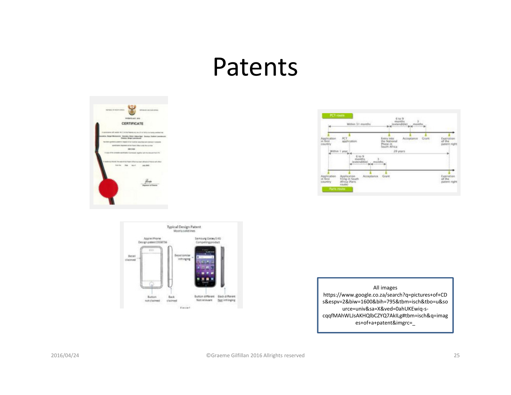#### Patents

| <b>ENTERTIS AUT. GETS</b><br>CERTIFICATE                                                                                                         |
|--------------------------------------------------------------------------------------------------------------------------------------------------|
| with senior 46.11 of the Papers Act, Its. 37 or 1978, clarificate senting 5.<br><b>Sarger Mindsorrow: Gentides, Elector Adesaurings</b>          |
| granted is patient in heighted of an investigat described and climinal in consumer                                                               |
| alor depose at the france offer wide the outlet                                                                                                  |
| parenza-                                                                                                                                         |
| led. The seat of the Paper Cillus has need afficed at Presing advantage<br><b>Harristan</b><br><b>Etat Assoc </b><br><b>CARL SHOT</b><br>ا الرود |
|                                                                                                                                                  |





All images https://www.google.co.za/search?q=pictures+of+CD s&espv=2&biw=1600&bih=795&tbm=isch&tbo=u&source=univ&sa=X&ved=0ahUKEwiq-scqqfMAhWLJsAKHQlbCZYQ7AkILg#tbm=isch&q=images+of+a+patent&imgrc=\_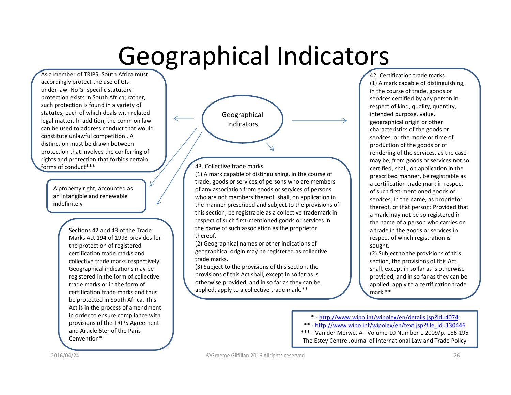#### Geographical Indicators

As a member of TRIPS, South Africa must accordingly protect the use of GIs under law. No GI-specific statutory protection exists in South Africa; rather,such protection is found in a variety of statutes, each of which deals with related legal matter. In addition, the common law can be used to address conduct that wouldconstitute unlawful competition . A distinction must be drawn between protection that involves the conferring ofrights and protection that forbids certain forms of conduct\*\*\*

> A property right, accounted as an intangible and renewable indefinitely

> > Sections 42 and 43 of the Trade Marks Act 194 of 1993 provides for the protection of registered certification trade marks and collective trade marks respectively. Geographical indications may be registered in the form of collective trade marks or in the form of certification trade marks and thus be protected in South Africa. This Act is in the process of amendment in order to ensure compliance with provisions of the TRIPS Agreement and Article 6ter of the Paris Convention\*



#### 43. Collective trade marks

 (1) A mark capable of distinguishing, in the course of trade, goods or services of persons who are members of any association from goods or services of persons who are not members thereof, shall, on application in the manner prescribed and subject to the provisions of this section, be registrable as a collective trademark in respect of such first-mentioned goods or services in the name of such association as the proprietor thereof.

(2) Geographical names or other indications of geographical origin may be registered as collectivetrade marks.

(3) Subject to the provisions of this section, the provisions of this Act shall, except in so far as is otherwise provided, and in so far as they can be applied, apply to a collective trade mark.\*\*

 42. Certification trade marks (1) A mark capable of distinguishing, in the course of trade, goods or services certified by any person in respect of kind, quality, quantity, intended purpose, value, geographical origin or other characteristics of the goods or services, or the mode or time of production of the goods or of rendering of the services, as the case may be, from goods or services not so certified, shall, on application in the prescribed manner, be registrable as a certification trade mark in respect of such first-mentioned goods or services, in the name, as proprietor thereof, of that person: Provided that a mark may not be so registered in the name of a person who carries on a trade in the goods or services in respect of which registration is sought.

(2) Subject to the provisions of this section, the provisions of this Act shall, except in so far as is otherwise provided, and in so far as they can be applied, apply to a certification trade mark \*\*

\* - http://www.wipo.int/wipolex/en/details.jsp?id=4074

\*\* - http://www.wipo.int/wipolex/en/text.jsp?file\_id=130446

 \*\*\* - Van der Merwe, A - Volume 10 Number 1 2009/p. 186-195 The Estey Centre Journal of International Law and Trade Policy

2016/04/24

©Graeme Gilfillan 2016 Allrights reserved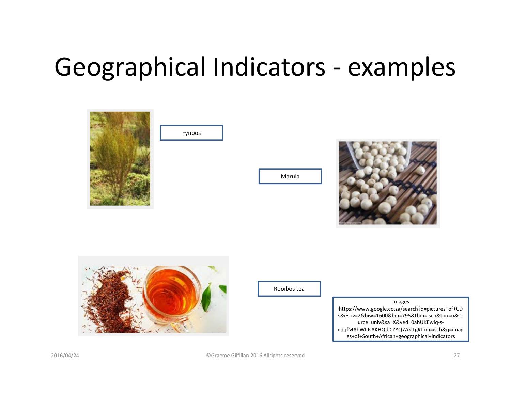### Geographical Indicators - examples

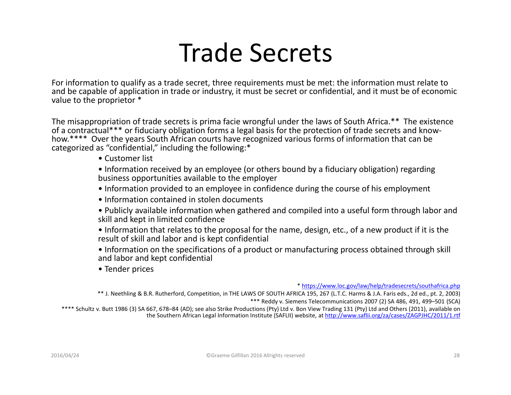#### Trade Secrets

For information to qualify as a trade secret, three requirements must be met: the information must relate to and be capable of application in trade or industry, it must be secret or confidential, and it must be of economic value to the proprietor \*

The misappropriation of trade secrets is prima facie wrongful under the laws of South Africa.\*\* The existence of a contractual\*\*\* or fiduciary obligation forms a legal basis for the protection of trade secrets and knowhow.\*\*\*\* Over the years South African courts have recognized various forms of information that can becategorized as "confidential," including the following:\*

• Customer list

 • Information received by an employee (or others bound by a fiduciary obligation) regarding business opportunities available to the employer

- Information provided to an employee in confidence during the course of his employment
- Information contained in stolen documents
- Publicly available information when gathered and compiled into a useful form through labor and skill and kept in limited confidence
- Information that relates to the proposal for the name, design, etc., of a new product if it is the result of skill and labor and is kept confidential
- Information on the specifications of a product or manufacturing process obtained through skill and labor and kept confidential
- Tender prices

\* https://www.loc.gov/law/help/tradesecrets/southafrica.php

 \*\* J. Neethling & B.R. Rutherford, Competition, in THE LAWS OF SOUTH AFRICA 195, 267 (L.T.C. Harms & J.A. Faris eds., 2d ed., pt. 2, 2003) \*\*\* Reddy v. Siemens Telecommunications 2007 (2) SA 486, 491, 499–501 (SCA)

\*\*\*\* Schultz v. Butt 1986 (3) SA 667, 678–84 (AD); see also Strike Productions (Pty) Ltd v. Bon View Trading 131 (Pty) Ltd and Others (2011), available on the Southern African Legal Information Institute (SAFLII) website, at http://www.saflii.org/za/cases/ZAGPJHC/2011/1.rtf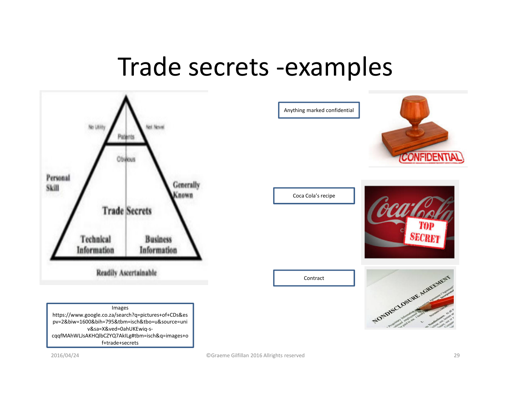#### Trade secrets -examples



2016/04/24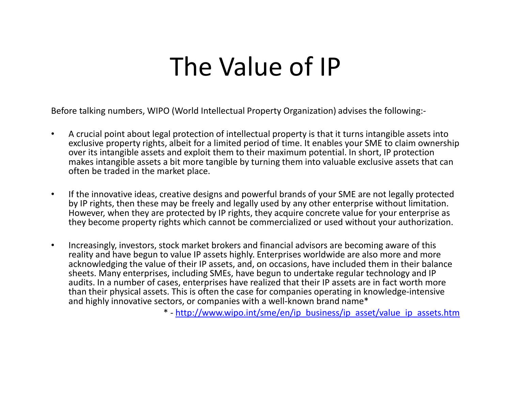#### The Value of IP

Before talking numbers, WIPO (World Intellectual Property Organization) advises the following:-

- $\bullet$  A crucial point about legal protection of intellectual property is that it turns intangible assets into exclusive property rights, albeit for a limited period of time. It enables your SME to claim ownershipover its intangible assets and exploit them to their maximum potential. In short, IP protection makes intangible assets a bit more tangible by turning them into valuable exclusive assets that can often be traded in the market place.
- $\bullet$  If the innovative ideas, creative designs and powerful brands of your SME are not legally protected by IP rights, then these may be freely and legally used by any other enterprise without limitation. However, when they are protected by IP rights, they acquire concrete value for your enterprise as they become property rights which cannot be commercialized or used without your authorization.
- $\bullet$  Increasingly, investors, stock market brokers and financial advisors are becoming aware of this reality and have begun to value IP assets highly. Enterprises worldwide are also more and more acknowledging the value of their IP assets, and, on occasions, have included them in their balance sheets. Many enterprises, including SMEs, have begun to undertake regular technology and IP audits. In a number of cases, enterprises have realized that their IP assets are in fact worth more than their physical assets. This is often the case for companies operating in knowledge-intensive and highly innovative sectors, or companies with a well-known brand name\*

\* - http://www.wipo.int/sme/en/ip\_business/ip\_asset/value\_ip\_assets.htm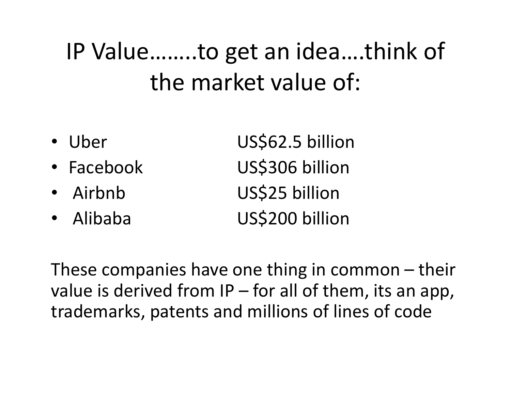#### IP Value……..to get an idea….think of the market value of:

• Uber US\$62.5 billion • Facebook US\$306 billion • Airbnb US\$25 billion • Alibaba US\$200 billion

These companies have one thing in common – their value is derived from IP – for all of them, its an app, trademarks, patents and millions of lines of code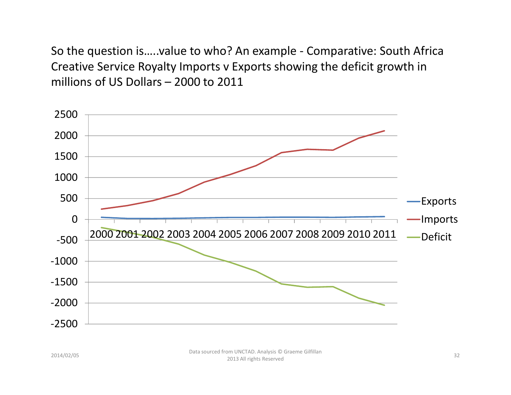So the question is…..value to who? An example - Comparative: South Africa Creative Service Royalty Imports v Exports showing the deficit growth in millions of US Dollars – 2000 to 2011

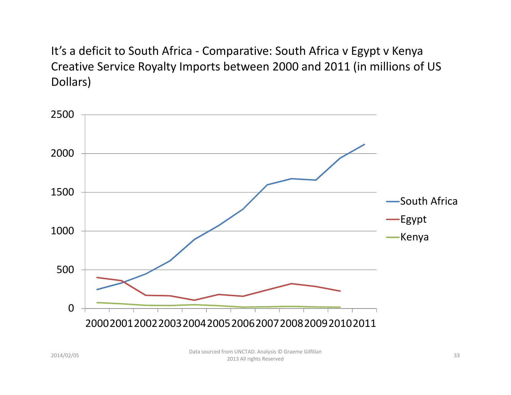It's a deficit to South Africa - Comparative: South Africa v Egypt v Kenya Creative Service Royalty Imports between 2000 and 2011 (in millions of US Dollars)

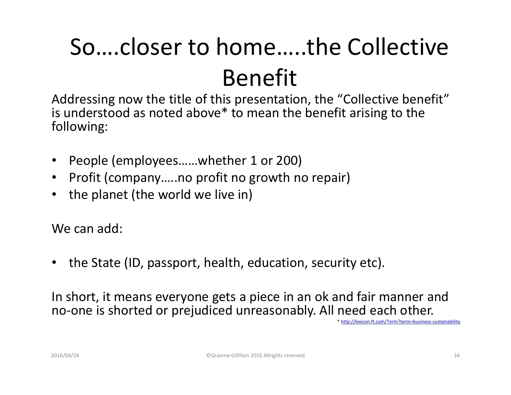## So….closer to home…..the Collective Benefit

 Addressing now the title of this presentation, the "Collective benefit" is understood as noted above\* to mean the benefit arising to the following:

- •People (employees……whether 1 or 200)
- •Profit (company…..no profit no growth no repair)
- •the planet (the world we live in)

We can add:

•the State (ID, passport, health, education, security etc).

In short, it means everyone gets a piece in an ok and fair manner and no-one is shorted or prejudiced unreasonably. All need each other.

\* http://lexicon.ft.com/Term?term=business-sustainability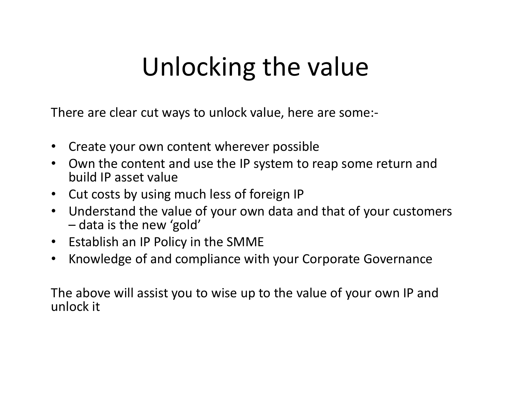## Unlocking the value

There are clear cut ways to unlock value, here are some:-

- $\bullet$ Create your own content wherever possible
- Own the content and use the IP system to reap some return and  $\bullet$ build IP asset value
- Cut costs by using much less of foreign IP
- Understand the value of your own data and that of your customers data is the new 'gold'
- Establish an IP Policy in the SMME
- **•** Knowledge of and compliance with your Corporate Governance  $\bullet$

The above will assist you to wise up to the value of your own IP and unlock it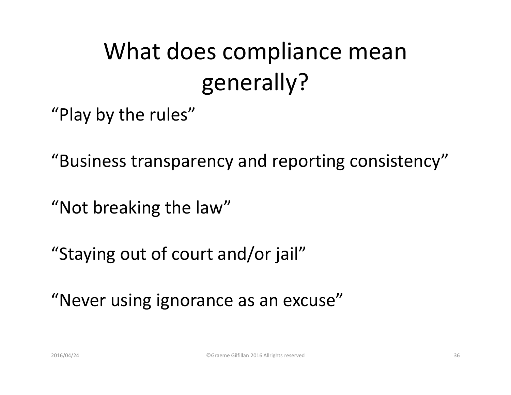#### What does compliance mean generally?

"Play by the rules"

"Business transparency and reporting consistency"

"Not breaking the law"

"Staying out of court and/or jail"

"Never using ignorance as an excuse"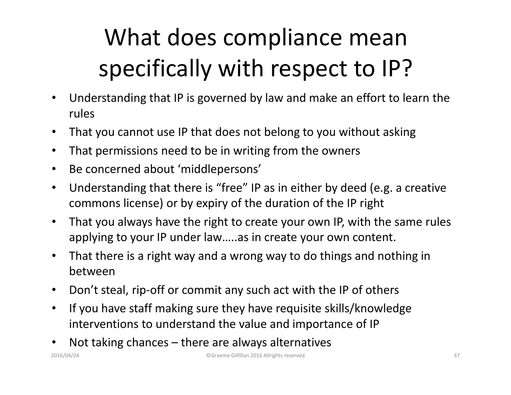### What does compliance mean specifically with respect to IP?

- • Understanding that IP is governed by law and make an effort to learn the rules
- $\bullet$ That you cannot use IP that does not belong to you without asking
- $\bullet$ That permissions need to be in writing from the owners
- $\bullet$ Be concerned about 'middlepersons'
- $\bullet$  Understanding that there is "free" IP as in either by deed (e.g. a creative commons license) or by expiry of the duration of the IP right
- • That you always have the right to create your own IP, with the same rules applying to your IP under law…..as in create your own content.
- • That there is a right way and a wrong way to do things and nothing in between
- $\bullet$ Don't steal, rip-off or commit any such act with the IP of others
- • If you have staff making sure they have requisite skills/knowledge interventions to understand the value and importance of IP
- •Not taking chances – there are always alternatives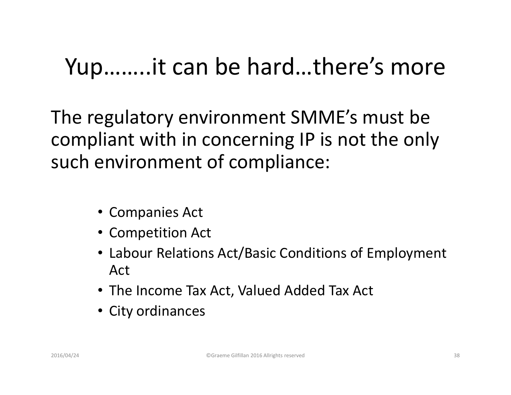#### Yup……..it can be hard…there's more

The regulatory environment SMME's must be compliant with in concerning IP is not the only such environment of compliance:

- Companies Act
- Competition Act
- Labour Relations Act/Basic Conditions of Employment Act
- The Income Tax Act, Valued Added Tax Act
- City ordinances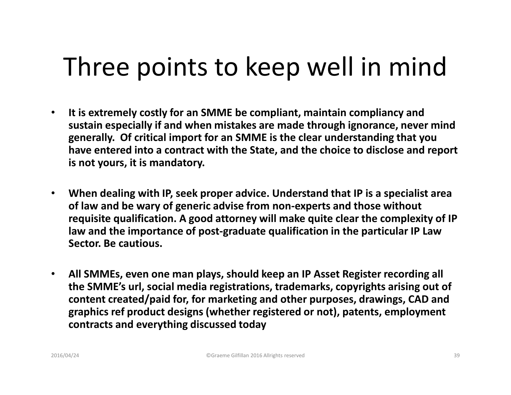## Three points to keep well in mind

- $\bullet$  **It is extremely costly for an SMME be compliant, maintain compliancy and sustain especially if and when mistakes are made through ignorance, never mind generally. Of critical import for an SMME is the clear understanding that you have entered into a contract with the State, and the choice to disclose and report is not yours, it is mandatory.**
- $\bullet$  **When dealing with IP, seek proper advice. Understand that IP is a specialist area of law and be wary of generic advise from non-experts and those without requisite qualification. A good attorney will make quite clear the complexity of IP law and the importance of post-graduate qualification in the particular IP Law Sector. Be cautious.**
- $\bullet$  **All SMMEs, even one man plays, should keep an IP Asset Register recording all the SMME's url, social media registrations, trademarks, copyrights arising out of content created/paid for, for marketing and other purposes, drawings, CAD and graphics ref product designs (whether registered or not), patents, employment contracts and everything discussed today**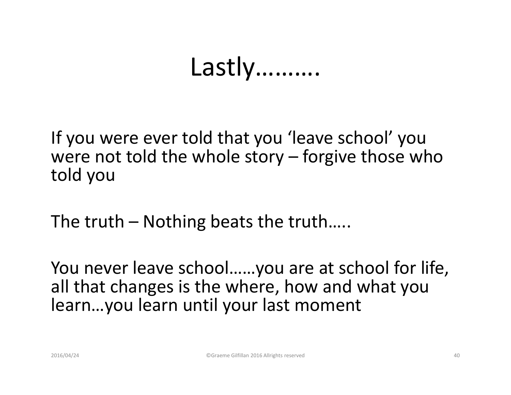#### Lastly……….

If you were ever told that you 'leave school' you were not told the whole story – forgive those who told you

The truth – Nothing beats the truth…..

You never leave school……you are at school for life,all that changes is the where, how and what you learn…you learn until your last moment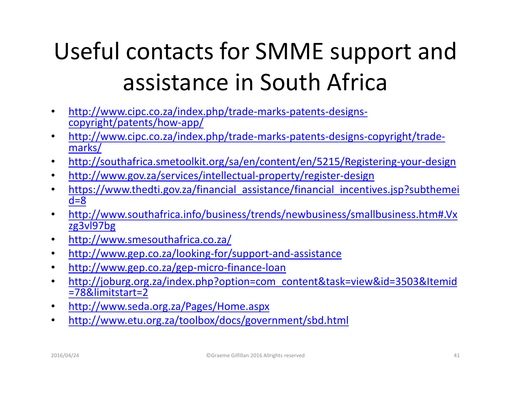### Useful contacts for SMME support and assistance in South Africa

- $\bullet$  http://www.cipc.co.za/index.php/trade-marks-patents-designscopyright/patents/how-app/
- http://www.cipc.co.za/index.php/trade-marks-patents-designs-copyright/trade- $\bullet$ marks/
- $\bullet$ http://southafrica.smetoolkit.org/sa/en/content/en/5215/Registering-your-design
- $\bullet$ http://www.gov.za/services/intellectual-property/register-design
- https://www.thedti.gov.za/financial assistance/financial incentives.jsp?subthemei  $\bullet$  $d=8$
- http://www.southafrica.info/business/trends/newbusiness/smallbusiness.htm#.Vx•zg3vl97bg
- http://www.smesouthafrica.co.za/ $\bullet$
- $\bullet$ http://www.gep.co.za/looking-for/support-and-assistance
- $\bullet$ http://www.gep.co.za/gep-micro-finance-loan
- http://joburg.org.za/index.php?option=com\_content&task=view&id=3503&Itemid  $\bullet$ =78&limitstart=2
- http://www.seda.org.za/Pages/Home.aspx•
- http://www.etu.org.za/toolbox/docs/government/sbd.html  $\bullet$